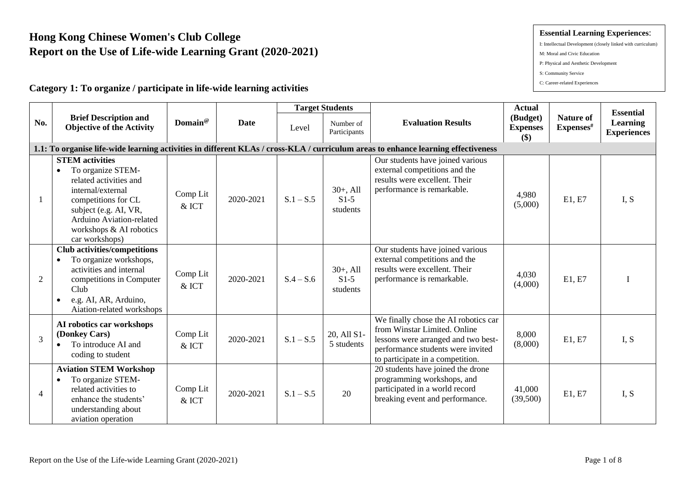# **Hong Kong Chinese Women's Club College Report on the Use of Life-wide Learning Grant (2020-2021)**

# **Category 1: To organize / participate in life-wide learning activities**

|                |                                                                                                                                                                                                                                  |                     |             |             | <b>Target Students</b>           |                                                                                                                                                                                      | <b>Actual</b>                      |                               | <b>Essential</b>               |
|----------------|----------------------------------------------------------------------------------------------------------------------------------------------------------------------------------------------------------------------------------|---------------------|-------------|-------------|----------------------------------|--------------------------------------------------------------------------------------------------------------------------------------------------------------------------------------|------------------------------------|-------------------------------|--------------------------------|
| No.            | <b>Brief Description and</b><br><b>Objective of the Activity</b>                                                                                                                                                                 | Domain®             | <b>Date</b> | Level       | Number of<br>Participants        | <b>Evaluation Results</b>                                                                                                                                                            | (Budget)<br><b>Expenses</b><br>\$) | <b>Nature of</b><br>Expenses# | Learning<br><b>Experiences</b> |
|                |                                                                                                                                                                                                                                  |                     |             |             |                                  | 1.1: To organise life-wide learning activities in different KLAs / cross-KLA / curriculum areas to enhance learning effectiveness                                                    |                                    |                               |                                |
| 1              | <b>STEM</b> activities<br>To organize STEM-<br>$\bullet$<br>related activities and<br>internal/external<br>competitions for CL<br>subject (e.g. AI, VR,<br>Arduino Aviation-related<br>workshops & AI robotics<br>car workshops) | Comp Lit<br>& ICT   | 2020-2021   | $S.1 - S.5$ | $30+,$ All<br>$S1-5$<br>students | Our students have joined various<br>external competitions and the<br>results were excellent. Their<br>performance is remarkable.                                                     | 4,980<br>(5,000)                   | E1, E7                        | I, S                           |
| $\overline{2}$ | <b>Club activities/competitions</b><br>To organize workshops,<br>activities and internal<br>competitions in Computer<br>Club<br>e.g. AI, AR, Arduino,<br>Aiation-related workshops                                               | Comp Lit<br>& ICT   | 2020-2021   | $S.4 - S.6$ | $30+,$ All<br>$S1-5$<br>students | Our students have joined various<br>external competitions and the<br>results were excellent. Their<br>performance is remarkable.                                                     | 4,030<br>(4,000)                   | E1, E7                        |                                |
| $\overline{3}$ | AI robotics car workshops<br>(Donkey Cars)<br>To introduce AI and<br>coding to student                                                                                                                                           | Comp Lit<br>& ICT   | 2020-2021   | $S.1 - S.5$ | 20, All S1-<br>5 students        | We finally chose the AI robotics car<br>from Winstar Limited. Online<br>lessons were arranged and two best-<br>performance students were invited<br>to participate in a competition. | 8,000<br>(8,000)                   | E1, E7                        | I, S                           |
| $\overline{4}$ | <b>Aviation STEM Workshop</b><br>To organize STEM-<br>$\bullet$<br>related activities to<br>enhance the students'<br>understanding about<br>aviation operation                                                                   | Comp Lit<br>$&$ ICT | 2020-2021   | $S.1 - S.5$ | 20                               | 20 students have joined the drone<br>programming workshops, and<br>participated in a world record<br>breaking event and performance.                                                 | 41,000<br>(39,500)                 | E1, E7                        | I, S                           |

#### **Essential Learning Experiences**:

- I: Intellectual Development (closely linked with curriculum)
- M: Moral and Civic Education
- P: Physical and Aesthetic Development
- S: Community Service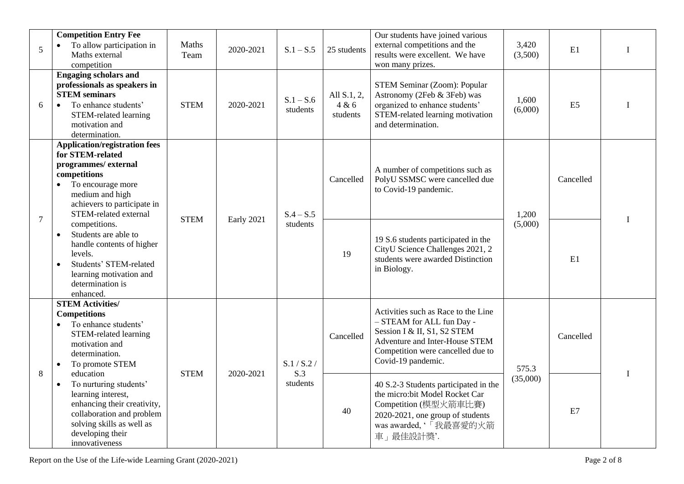| 5              | <b>Competition Entry Fee</b><br>To allow participation in<br>$\bullet$<br>Maths external<br>competition                                                                                                      | Maths<br>Team | 2020-2021  | $S.1 - S.5$             | 25 students                      | Our students have joined various<br>external competitions and the<br>results were excellent. We have<br>won many prizes.                                                                     | 3,420<br>(3,500) | E1             | $\bf{I}$ |
|----------------|--------------------------------------------------------------------------------------------------------------------------------------------------------------------------------------------------------------|---------------|------------|-------------------------|----------------------------------|----------------------------------------------------------------------------------------------------------------------------------------------------------------------------------------------|------------------|----------------|----------|
| 6              | <b>Engaging scholars and</b><br>professionals as speakers in<br><b>STEM</b> seminars<br>To enhance students'<br>$\bullet$<br>STEM-related learning<br>motivation and<br>determination.                       | <b>STEM</b>   | 2020-2021  | $S.1 - S.6$<br>students | All S.1, 2,<br>4 & 6<br>students | STEM Seminar (Zoom): Popular<br>Astronomy (2Feb & 3Feb) was<br>organized to enhance students'<br>STEM-related learning motivation<br>and determination.                                      | 1,600<br>(6,000) | E <sub>5</sub> | I        |
|                | <b>Application/registration fees</b><br>for STEM-related<br>programmes/external<br>competitions<br>To encourage more<br>$\bullet$<br>medium and high<br>achievers to participate in<br>STEM-related external |               |            | $S.4 - S.5$             | Cancelled                        | A number of competitions such as<br>PolyU SSMSC were cancelled due<br>to Covid-19 pandemic.                                                                                                  | 1,200            | Cancelled      |          |
| $\overline{7}$ | competitions.<br>Students are able to<br>$\bullet$<br>handle contents of higher<br>levels.<br>Students' STEM-related<br>$\bullet$<br>learning motivation and<br>determination is<br>enhanced.                | <b>STEM</b>   | Early 2021 | students                | 19                               | 19 S.6 students participated in the<br>CityU Science Challenges 2021, 2<br>students were awarded Distinction<br>in Biology.                                                                  | (5,000)          | E1             |          |
| 8              | <b>STEM Activities/</b><br><b>Competitions</b><br>To enhance students'<br>$\bullet$<br>STEM-related learning<br>motivation and<br>determination.<br>To promote STEM<br>$\bullet$<br>education                | <b>STEM</b>   | 2020-2021  | S.1 / S.2 /<br>S.3      | Cancelled                        | Activities such as Race to the Line<br>- STEAM for ALL fun Day -<br>Session I & II, S1, S2 STEM<br>Adventure and Inter-House STEM<br>Competition were cancelled due to<br>Covid-19 pandemic. | 575.3            | Cancelled      |          |
|                | To nurturing students'<br>$\bullet$<br>learning interest,<br>enhancing their creativity,<br>collaboration and problem<br>solving skills as well as<br>developing their<br>innovativeness                     |               |            | students                | 40                               | 40 S.2-3 Students participated in the<br>the micro:bit Model Rocket Car<br>Competition (模型火箭車比賽)<br>2020-2021, one group of students<br>was awarded,'「我最喜愛的火箭<br>車」最佳設計獎.                    | (35,000)         | E7             |          |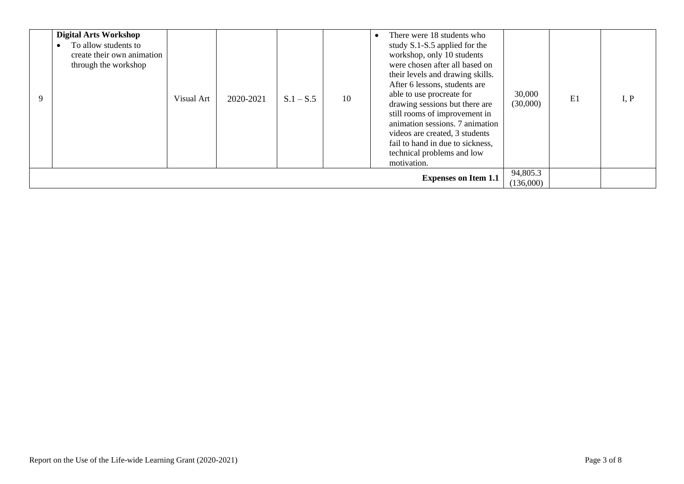| 9 | <b>Digital Arts Workshop</b><br>To allow students to<br>create their own animation<br>through the workshop | Visual Art | 2020-2021 | $S.1 - S.5$ | 10 | There were 18 students who<br>study S.1-S.5 applied for the<br>workshop, only 10 students<br>were chosen after all based on<br>their levels and drawing skills.<br>After 6 lessons, students are<br>able to use procreate for<br>drawing sessions but there are<br>still rooms of improvement in<br>animation sessions. 7 animation<br>videos are created, 3 students<br>fail to hand in due to sickness,<br>technical problems and low<br>motivation. | 30,000<br>(30,000) | E1 | I, P |
|---|------------------------------------------------------------------------------------------------------------|------------|-----------|-------------|----|--------------------------------------------------------------------------------------------------------------------------------------------------------------------------------------------------------------------------------------------------------------------------------------------------------------------------------------------------------------------------------------------------------------------------------------------------------|--------------------|----|------|
|   | 94,805.3<br><b>Expenses on Item 1.1</b><br>(136,000)                                                       |            |           |             |    |                                                                                                                                                                                                                                                                                                                                                                                                                                                        |                    |    |      |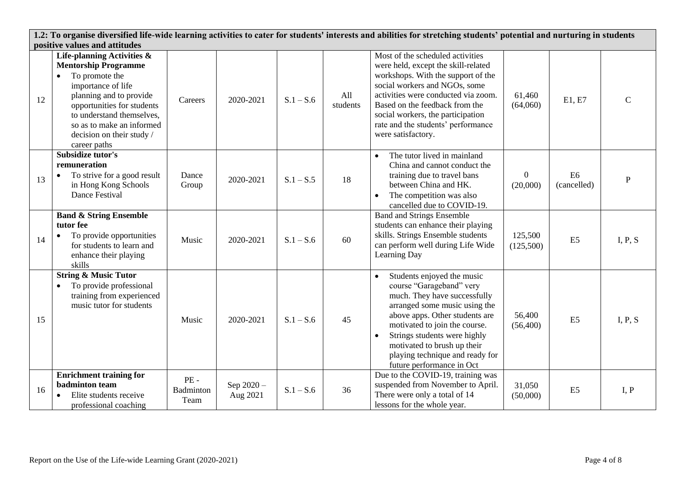**1.2: To organise diversified life-wide learning activities to cater for students' interests and abilities for stretching students' potential and nurturing in students positive values and attitudes**  Most of the scheduled activities ᅮ  $\top$ ┯ ┯ ┯ **Life-planning Activities &** 

| 12 | Life-planning Activities $\alpha$<br><b>Mentorship Programme</b><br>To promote the<br>$\bullet$<br>importance of life<br>planning and to provide<br>opportunities for students<br>to understand themselves,<br>so as to make an informed<br>decision on their study /<br>career paths | Careers                            | 2020-2021              | $S.1 - S.6$ | A11<br>students | Most of the scheduled activities<br>were held, except the skill-related<br>workshops. With the support of the<br>social workers and NGOs, some<br>activities were conducted via zoom.<br>Based on the feedback from the<br>social workers, the participation<br>rate and the students' performance<br>were satisfactory.               | 61,460<br>(64,060)         | E1, E7                        | $\mathsf{C}$ |
|----|---------------------------------------------------------------------------------------------------------------------------------------------------------------------------------------------------------------------------------------------------------------------------------------|------------------------------------|------------------------|-------------|-----------------|----------------------------------------------------------------------------------------------------------------------------------------------------------------------------------------------------------------------------------------------------------------------------------------------------------------------------------------|----------------------------|-------------------------------|--------------|
| 13 | Subsidize tutor's<br>remuneration<br>To strive for a good result<br>$\bullet$<br>in Hong Kong Schools<br>Dance Festival                                                                                                                                                               | Dance<br>Group                     | 2020-2021              | $S.1 - S.5$ | 18              | The tutor lived in mainland<br>China and cannot conduct the<br>training due to travel bans<br>between China and HK.<br>The competition was also<br>cancelled due to COVID-19.                                                                                                                                                          | $\overline{0}$<br>(20,000) | E <sub>6</sub><br>(cancelled) | P            |
| 14 | <b>Band &amp; String Ensemble</b><br>tutor fee<br>To provide opportunities<br>$\bullet$<br>for students to learn and<br>enhance their playing<br>skills                                                                                                                               | Music                              | 2020-2021              | $S.1 - S.6$ | 60              | <b>Band and Strings Ensemble</b><br>students can enhance their playing<br>skills. Strings Ensemble students<br>can perform well during Life Wide<br>Learning Day                                                                                                                                                                       | 125,500<br>(125,500)       | E <sub>5</sub>                | I, P, S      |
| 15 | <b>String &amp; Music Tutor</b><br>To provide professional<br>$\bullet$<br>training from experienced<br>music tutor for students                                                                                                                                                      | Music                              | 2020-2021              | $S.1 - S.6$ | 45              | Students enjoyed the music<br>$\bullet$<br>course "Garageband" very<br>much. They have successfully<br>arranged some music using the<br>above apps. Other students are<br>motivated to join the course.<br>Strings students were highly<br>motivated to brush up their<br>playing technique and ready for<br>future performance in Oct | 56,400<br>(56, 400)        | E <sub>5</sub>                | I, P, S      |
| 16 | <b>Enrichment training for</b><br><b>badminton</b> team<br>Elite students receive<br>$\bullet$<br>professional coaching                                                                                                                                                               | $PE -$<br><b>Badminton</b><br>Team | Sep 2020 -<br>Aug 2021 | $S.1 - S.6$ | 36              | Due to the COVID-19, training was<br>suspended from November to April.<br>There were only a total of 14<br>lessons for the whole year.                                                                                                                                                                                                 | 31,050<br>(50,000)         | E <sub>5</sub>                | I, P         |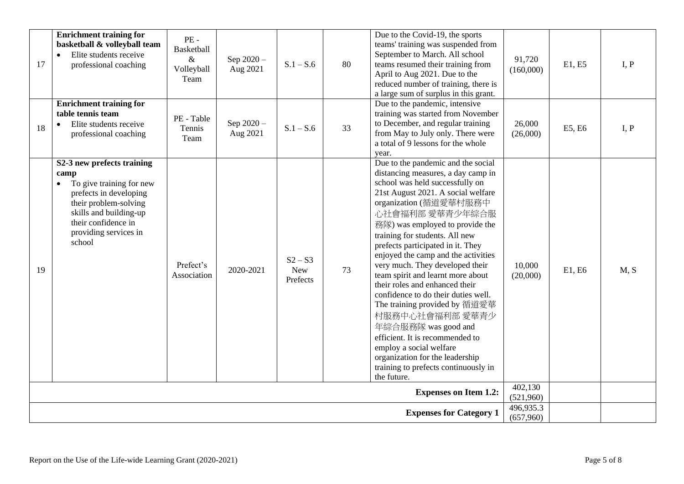| 17 | <b>Enrichment training for</b><br>basketball & volleyball team<br>Elite students receive<br>professional coaching                                                                                                  | PE-<br><b>Basketball</b><br>$\&$<br>Volleyball<br>Team | Sep 2020-<br>Aug 2021  | $S.1 - S.6$                         | 80 | Due to the Covid-19, the sports<br>teams' training was suspended from<br>September to March. All school<br>teams resumed their training from<br>April to Aug 2021. Due to the<br>reduced number of training, there is<br>a large sum of surplus in this grant.                                                                                                                                                                                                                                                                                                                                                                                                                                                                      | 91,720<br>(160,000)  | E1, E5 | I, P |
|----|--------------------------------------------------------------------------------------------------------------------------------------------------------------------------------------------------------------------|--------------------------------------------------------|------------------------|-------------------------------------|----|-------------------------------------------------------------------------------------------------------------------------------------------------------------------------------------------------------------------------------------------------------------------------------------------------------------------------------------------------------------------------------------------------------------------------------------------------------------------------------------------------------------------------------------------------------------------------------------------------------------------------------------------------------------------------------------------------------------------------------------|----------------------|--------|------|
| 18 | <b>Enrichment training for</b><br>table tennis team<br>Elite students receive<br>$\bullet$<br>professional coaching                                                                                                | PE - Table<br>Tennis<br>Team                           | Sep 2020 -<br>Aug 2021 | $S.1 - S.6$                         | 33 | Due to the pandemic, intensive<br>training was started from November<br>to December, and regular training<br>from May to July only. There were<br>a total of 9 lessons for the whole<br>year.                                                                                                                                                                                                                                                                                                                                                                                                                                                                                                                                       | 26,000<br>(26,000)   | E5, E6 | I, P |
| 19 | S2-3 new prefects training<br>camp<br>To give training for new<br>$\bullet$<br>prefects in developing<br>their problem-solving<br>skills and building-up<br>their confidence in<br>providing services in<br>school | Prefect's<br>Association                               | 2020-2021              | $S2 - S3$<br><b>New</b><br>Prefects | 73 | Due to the pandemic and the social<br>distancing measures, a day camp in<br>school was held successfully on<br>21st August 2021. A social welfare<br>organization (循道愛華村服務中<br>心社會福利部 愛華青少年綜合服<br>務隊) was employed to provide the<br>training for students. All new<br>prefects participated in it. They<br>enjoyed the camp and the activities<br>very much. They developed their<br>team spirit and learnt more about<br>their roles and enhanced their<br>confidence to do their duties well.<br>The training provided by 循道愛華<br>村服務中心社會福利部 愛華青少<br>年綜合服務隊 was good and<br>efficient. It is recommended to<br>employ a social welfare<br>organization for the leadership<br>training to prefects continuously in<br>the future. | 10,000<br>(20,000)   | E1, E6 | M, S |
|    |                                                                                                                                                                                                                    |                                                        |                        |                                     |    | <b>Expenses on Item 1.2:</b>                                                                                                                                                                                                                                                                                                                                                                                                                                                                                                                                                                                                                                                                                                        | 402,130<br>(521,960) |        |      |
|    | 496,935.3<br><b>Expenses for Category 1</b><br>(657,960)                                                                                                                                                           |                                                        |                        |                                     |    |                                                                                                                                                                                                                                                                                                                                                                                                                                                                                                                                                                                                                                                                                                                                     |                      |        |      |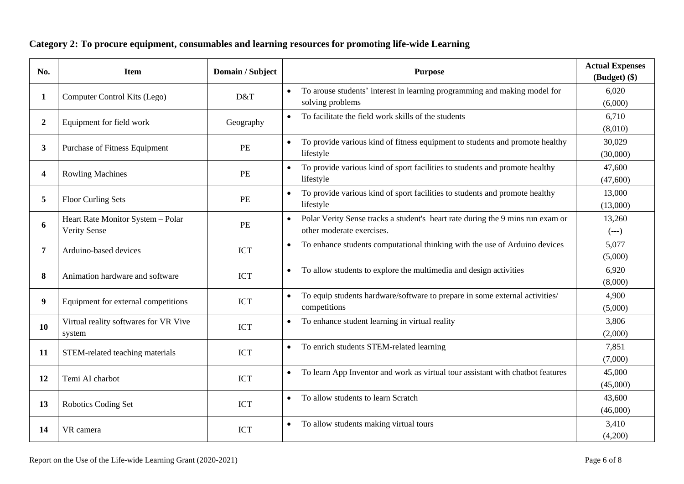# **Category 2: To procure equipment, consumables and learning resources for promoting life-wide Learning**

| No.            | <b>Item</b>                                              | Domain / Subject | <b>Purpose</b>                                                                                              | <b>Actual Expenses</b><br>(Budget) (\$) |
|----------------|----------------------------------------------------------|------------------|-------------------------------------------------------------------------------------------------------------|-----------------------------------------|
| 1              | Computer Control Kits (Lego)                             | D&T              | To arouse students' interest in learning programming and making model for<br>$\bullet$<br>solving problems  | 6,020<br>(6,000)                        |
| $\overline{2}$ | Equipment for field work                                 | Geography        | To facilitate the field work skills of the students                                                         | 6,710<br>(8,010)                        |
| 3              | Purchase of Fitness Equipment                            | PE               | To provide various kind of fitness equipment to students and promote healthy<br>lifestyle                   | 30,029<br>(30,000)                      |
| 4              | <b>Rowling Machines</b>                                  | PE               | To provide various kind of sport facilities to students and promote healthy<br>lifestyle                    | 47,600<br>(47,600)                      |
| 5              | <b>Floor Curling Sets</b>                                | PE               | To provide various kind of sport facilities to students and promote healthy<br>lifestyle                    | 13,000<br>(13,000)                      |
| 6              | Heart Rate Monitor System - Polar<br><b>Verity Sense</b> | PE               | Polar Verity Sense tracks a student's heart rate during the 9 mins run exam or<br>other moderate exercises. | 13,260<br>$(--)$                        |
| 7              | Arduino-based devices                                    | <b>ICT</b>       | To enhance students computational thinking with the use of Arduino devices<br>$\bullet$                     | 5,077<br>(5,000)                        |
| 8              | Animation hardware and software                          | <b>ICT</b>       | To allow students to explore the multimedia and design activities<br>$\bullet$                              | 6,920<br>(8,000)                        |
| 9              | Equipment for external competitions                      | <b>ICT</b>       | To equip students hardware/software to prepare in some external activities/<br>competitions                 | 4,900<br>(5,000)                        |
| 10             | Virtual reality softwares for VR Vive<br>system          | <b>ICT</b>       | To enhance student learning in virtual reality<br>$\bullet$                                                 | 3,806<br>(2,000)                        |
| 11             | STEM-related teaching materials                          | <b>ICT</b>       | To enrich students STEM-related learning                                                                    | 7,851<br>(7,000)                        |
| 12             | Temi AI charbot                                          | <b>ICT</b>       | To learn App Inventor and work as virtual tour assistant with chatbot features                              | 45,000<br>(45,000)                      |
| 13             | Robotics Coding Set                                      | <b>ICT</b>       | To allow students to learn Scratch                                                                          | 43,600<br>(46,000)                      |
| 14             | VR camera                                                | <b>ICT</b>       | To allow students making virtual tours                                                                      | 3,410<br>(4,200)                        |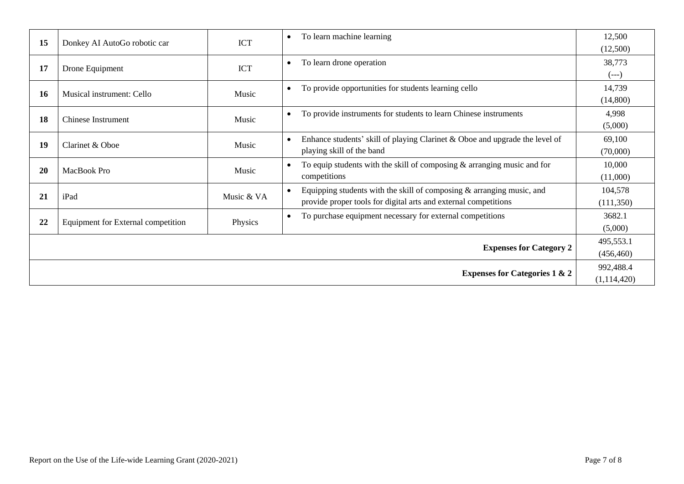| 15                    | Donkey AI AutoGo robotic car       | <b>ICT</b> | To learn machine learning<br>$\bullet$                                      | 12,500      |
|-----------------------|------------------------------------|------------|-----------------------------------------------------------------------------|-------------|
|                       |                                    |            |                                                                             | (12,500)    |
| 17                    |                                    | <b>ICT</b> | To learn drone operation                                                    | 38,773      |
|                       | Drone Equipment                    |            |                                                                             | $(- - )$    |
|                       |                                    |            | To provide opportunities for students learning cello                        | 14,739      |
| <b>16</b>             | Musical instrument: Cello          | Music      |                                                                             | (14,800)    |
|                       |                                    |            | To provide instruments for students to learn Chinese instruments            | 4,998       |
|                       | 18<br>Chinese Instrument<br>Music  |            |                                                                             | (5,000)     |
|                       |                                    |            | Enhance students' skill of playing Clarinet & Oboe and upgrade the level of | 69,100      |
| 19<br>Clarinet & Oboe |                                    | Music      | playing skill of the band                                                   | (70,000)    |
|                       |                                    |            | To equip students with the skill of composing $\&$ arranging music and for  | 10,000      |
| <b>20</b>             | MacBook Pro                        | Music      | competitions                                                                | (11,000)    |
|                       |                                    |            | Equipping students with the skill of composing $\&$ arranging music, and    | 104,578     |
| 21                    | iPad                               | Music & VA | provide proper tools for digital arts and external competitions             | (111,350)   |
|                       |                                    |            | To purchase equipment necessary for external competitions                   | 3682.1      |
| 22                    | Equipment for External competition | Physics    |                                                                             | (5,000)     |
|                       |                                    |            |                                                                             | 495,553.1   |
|                       |                                    |            | <b>Expenses for Category 2</b>                                              | (456, 460)  |
|                       |                                    |            |                                                                             | 992,488.4   |
|                       |                                    |            | <b>Expenses for Categories 1 &amp; 2</b>                                    | (1,114,420) |